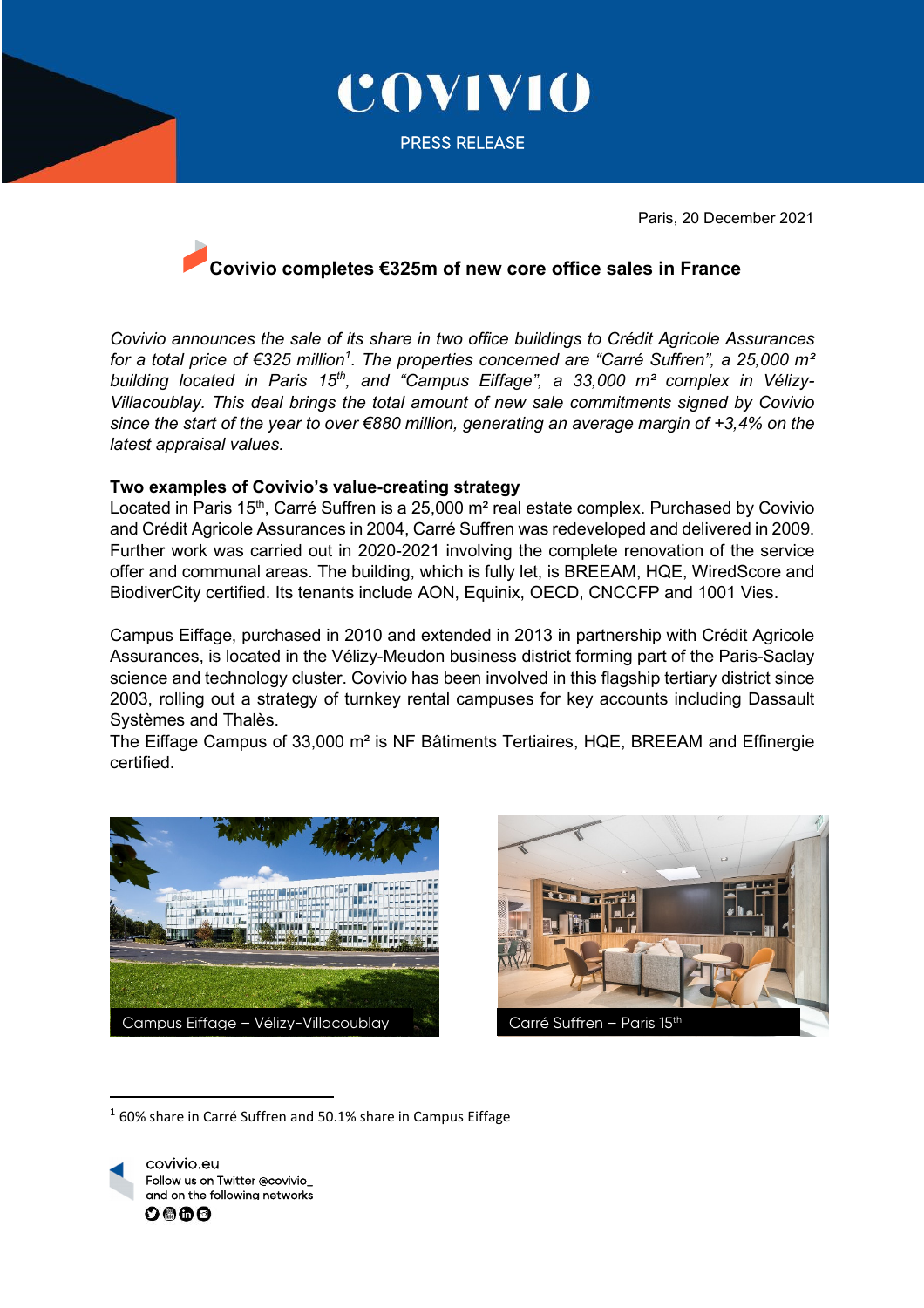

Paris, 20 December 2021

# **Covivio completes €325m of new core office sales in France**

*Covivio announces the sale of its share in two office buildings to Crédit Agricole Assurances for a total price of €325 million<sup>1</sup> . The properties concerned are "Carré Suffren", a 25,000 m² building located in Paris 15th, and "Campus Eiffage", a 33,000 m² complex in Vélizy-Villacoublay. This deal brings the total amount of new sale commitments signed by Covivio since the start of the year to over €880 million, generating an average margin of +3,4% on the latest appraisal values.* 

## **Two examples of Covivio's value-creating strategy**

Located in Paris 15<sup>th</sup>, Carré Suffren is a 25,000 m<sup>2</sup> real estate complex. Purchased by Covivio and Crédit Agricole Assurances in 2004, Carré Suffren was redeveloped and delivered in 2009. Further work was carried out in 2020-2021 involving the complete renovation of the service offer and communal areas. The building, which is fully let, is BREEAM, HQE, WiredScore and BiodiverCity certified. Its tenants include AON, Equinix, OECD, CNCCFP and 1001 Vies.

Campus Eiffage, purchased in 2010 and extended in 2013 in partnership with Crédit Agricole Assurances, is located in the Vélizy-Meudon business district forming part of the Paris-Saclay science and technology cluster. Covivio has been involved in this flagship tertiary district since 2003, rolling out a strategy of turnkey rental campuses for key accounts including Dassault Systèmes and Thalès.

The Eiffage Campus of 33,000 m² is NF Bâtiments Tertiaires, HQE, BREEAM and Effinergie certified.





 $1$  60% share in Carré Suffren and 50.1% share in Campus Eiffage

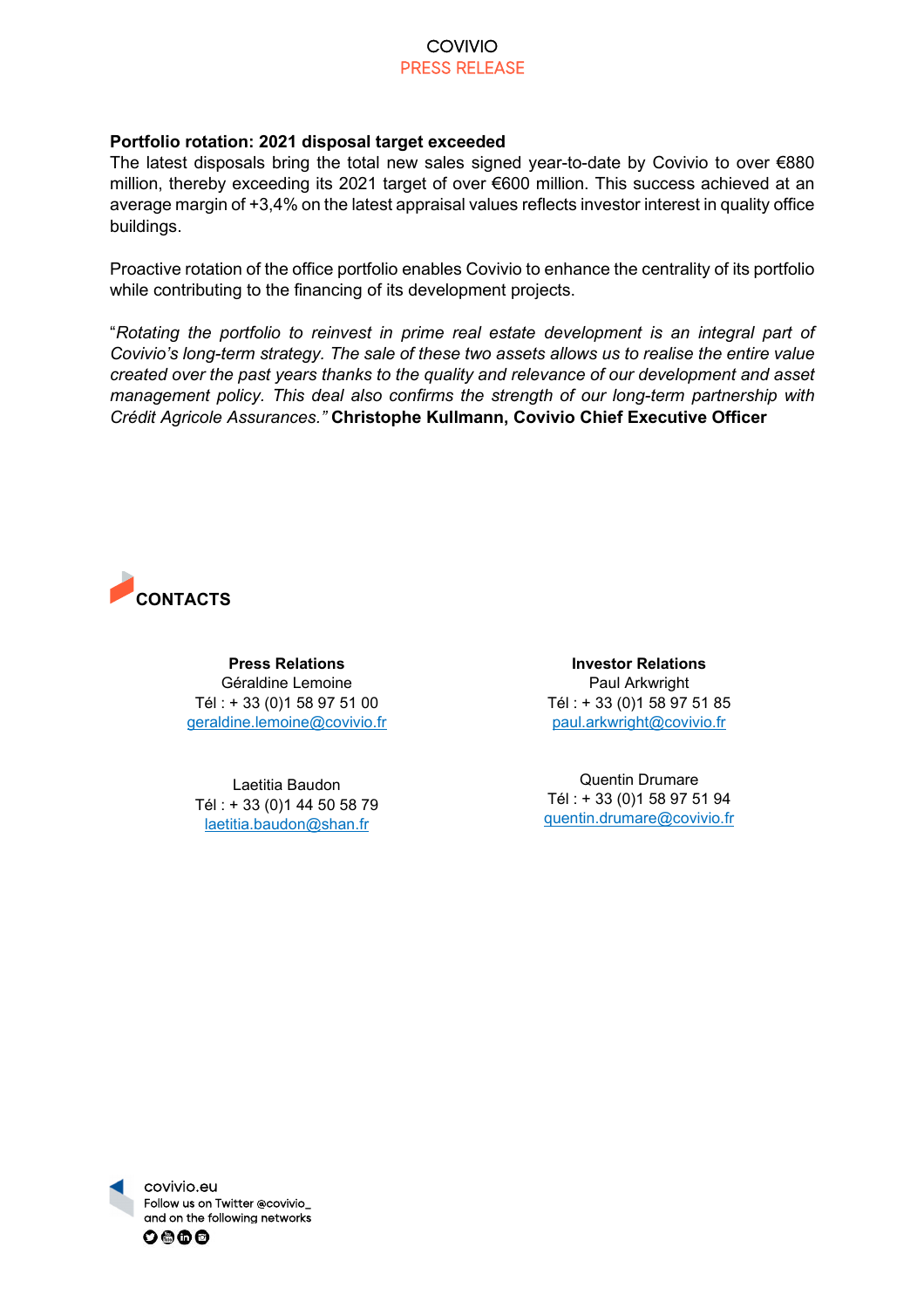### COVIVIO PRESS RELEASE

### **Portfolio rotation: 2021 disposal target exceeded**

The latest disposals bring the total new sales signed year-to-date by Covivio to over €880 million, thereby exceeding its 2021 target of over €600 million. This success achieved at an average margin of +3,4% on the latest appraisal values reflects investor interest in quality office buildings.

Proactive rotation of the office portfolio enables Covivio to enhance the centrality of its portfolio while contributing to the financing of its development projects.

"*Rotating the portfolio to reinvest in prime real estate development is an integral part of Covivio's long-term strategy. The sale of these two assets allows us to realise the entire value created over the past years thanks to the quality and relevance of our development and asset management policy. This deal also confirms the strength of our long-term partnership with Crédit Agricole Assurances."* **Christophe Kullmann, Covivio Chief Executive Officer** 



**Press Relations**  Géraldine Lemoine Tél : + 33 (0)1 58 97 51 00 geraldine.lemoine@covivio.fr

Laetitia Baudon Tél : + 33 (0)1 44 50 58 79 laetitia.baudon@shan.fr

**Investor Relations**  Paul Arkwright Tél : + 33 (0)1 58 97 51 85 paul.arkwright@covivio.fr

Quentin Drumare Tél : + 33 (0)1 58 97 51 94 quentin.drumare@covivio.fr